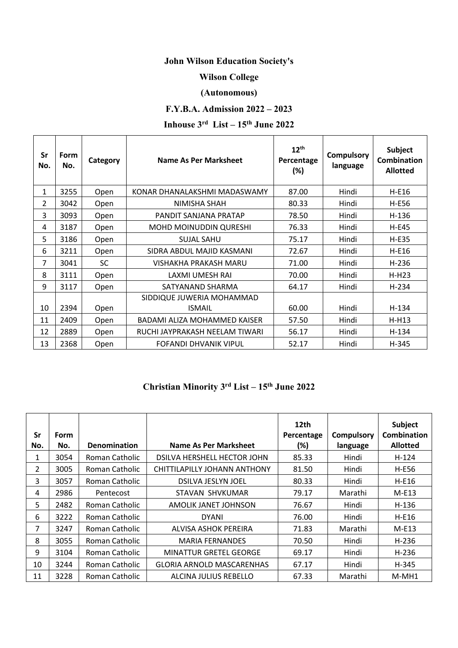### **John Wilson Education Society's**

#### **Wilson College**

#### **(Autonomous)**

### **F.Y.B.A. Admission 2022 – 2023**

# **Inhouse 3rd List – 15th June 2022**

| Sr<br>No.      | Form<br>No. | Category  | Name As Per Marksheet               | $12^{th}$<br>Percentage<br>(%) | <b>Compulsory</b><br>language | Subject<br>Combination<br><b>Allotted</b> |
|----------------|-------------|-----------|-------------------------------------|--------------------------------|-------------------------------|-------------------------------------------|
| 1              | 3255        | Open      | KONAR DHANALAKSHMI MADASWAMY        | 87.00                          | Hindi                         | H-E16                                     |
| $\overline{2}$ | 3042        | Open      | NIMISHA SHAH                        | 80.33                          | Hindi                         | H-E56                                     |
| 3              | 3093        | Open      | PANDIT SANJANA PRATAP               | 78.50                          | Hindi                         | H-136                                     |
| 4              | 3187        | Open      | <b>MOHD MOINUDDIN QURESHI</b>       | 76.33                          | Hindi                         | <b>H-E45</b>                              |
| 5              | 3186        | Open      | <b>SUJAL SAHU</b>                   | 75.17                          | Hindi                         | $H-E35$                                   |
| 6              | 3211        | Open      | SIDRA ABDUL MAJID KASMANI           | 72.67                          | Hindi                         | H-E16                                     |
| 7              | 3041        | <b>SC</b> | VISHAKHA PRAKASH MARU               | 71.00                          | Hindi                         | $H-236$                                   |
| 8              | 3111        | Open      | LAXMI UMESH RAI                     | 70.00                          | Hindi                         | $H-H23$                                   |
| 9              | 3117        | Open      | SATYANAND SHARMA                    | 64.17                          | Hindi                         | H-234                                     |
|                |             |           | SIDDIQUE JUWERIA MOHAMMAD           |                                |                               |                                           |
| 10             | 2394        | Open      | <b>ISMAIL</b>                       | 60.00                          | Hindi                         | H-134                                     |
| 11             | 2409        | Open      | <b>BADAMI ALIZA MOHAMMED KAISER</b> | 57.50                          | Hindi                         | $H-H13$                                   |
| 12             | 2889        | Open      | RUCHI JAYPRAKASH NEELAM TIWARI      | 56.17                          | Hindi                         | $H-134$                                   |
| 13             | 2368        | Open      | FOFANDI DHVANIK VIPUL               | 52.17                          | Hindi                         | H-345                                     |

# **Christian Minority 3rd List – 15th June 2022**

| Sr<br>No. | <b>Form</b><br>No. | <b>Denomination</b> | Name As Per Marksheet            | 12th<br>Percentage<br>(%) | <b>Compulsory</b><br>language | <b>Subject</b><br>Combination<br><b>Allotted</b> |
|-----------|--------------------|---------------------|----------------------------------|---------------------------|-------------------------------|--------------------------------------------------|
| 1         | 3054               | Roman Catholic      | DSILVA HERSHELL HECTOR JOHN      | 85.33                     | Hindi                         | $H-124$                                          |
| 2         | 3005               | Roman Catholic      | CHITTILAPILLY JOHANN ANTHONY     | 81.50                     | Hindi                         | H-E56                                            |
| 3.        | 3057               | Roman Catholic      | DSILVA JESLYN JOEL               | 80.33                     | Hindi                         | $H-E16$                                          |
| 4         | 2986               | Pentecost           | STAVAN SHVKUMAR                  | 79.17                     | Marathi                       | $M-E13$                                          |
| 5         | 2482               | Roman Catholic      | AMOLIK JANET JOHNSON             | 76.67                     | Hindi                         | $H-136$                                          |
| 6         | 3222               | Roman Catholic      | <b>DYANI</b>                     | 76.00                     | Hindi                         | $H-E16$                                          |
| 7         | 3247               | Roman Catholic      | ALVISA ASHOK PEREIRA             | 71.83                     | Marathi                       | $M-E13$                                          |
| 8         | 3055               | Roman Catholic      | <b>MARIA FERNANDES</b>           | 70.50                     | Hindi                         | $H-236$                                          |
| 9         | 3104               | Roman Catholic      | <b>MINATTUR GRETEL GEORGE</b>    | 69.17                     | Hindi                         | H-236                                            |
| 10        | 3244               | Roman Catholic      | <b>GLORIA ARNOLD MASCARENHAS</b> | 67.17                     | Hindi                         | H-345                                            |
| 11        | 3228               | Roman Catholic      | ALCINA JULIUS REBELLO            | 67.33                     | Marathi                       | M-MH1                                            |